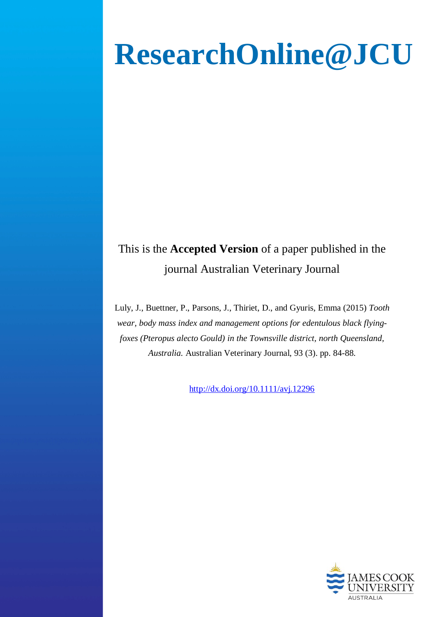# **ResearchOnline@JCU**

# This is the **Accepted Version** of a paper published in the journal Australian Veterinary Journal

Luly, J., Buettner, P., Parsons, J., Thiriet, D., and Gyuris, Emma (2015) *Tooth wear, body mass index and management options for edentulous black flyingfoxes (Pteropus alecto Gould) in the Townsville district, north Queensland, Australia.* Australian Veterinary Journal, 93 (3). pp. 84-88.

http://dx.doi.org/10.1111/avj.1229[6](http://dx.doi.org/10.1111/avj.12296)

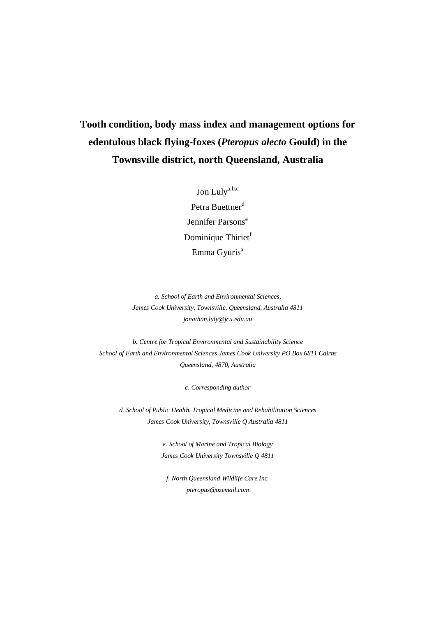# **Tooth condition, body mass index and management options for edentulous black flying-foxes (***Pteropus alecto* **Gould) in the Townsville district, north Queensland, Australia**

Jon Lulya,b,c Petra Buettner<sup>d</sup> Jennifer Parsons<sup>e</sup> Dominique Thiriet<sup>f</sup> Emma Gyuris<sup>a</sup>

*a. School of Earth and Environmental Sciences, James Cook University, Townsville, Queensland, Australia 4811 jonathan.luly@jcu.edu.au*

*b. Centre for Tropical Environmental and Sustainability Science School of Earth and Environmental Sciences James Cook University PO Box 6811 Cairns Queensland, 4870, Australia*

*c. Corresponding author*

*d. School of Public Health, Tropical Medicine and Rehabilitation Sciences James Cook University, Townsville Q Australia 4811*

> *e. School of Marine and Tropical Biology James Cook University Townsville Q 4811*

*f. North Queensland Wildlife Care Inc. pteropus@ozemail.com*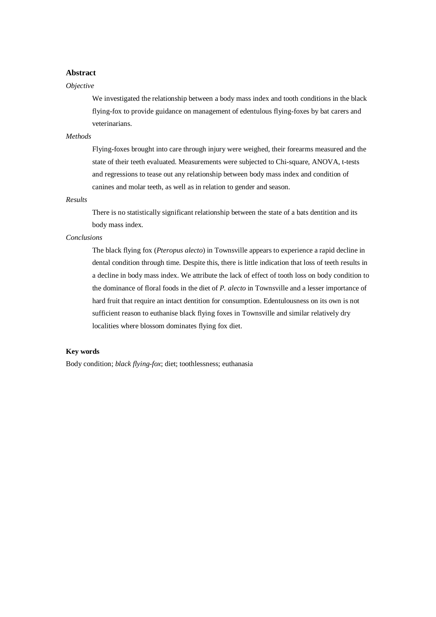# **Abstract**

## *Objective*

We investigated the relationship between a body mass index and tooth conditions in the black flying-fox to provide guidance on management of edentulous flying-foxes by bat carers and veterinarians.

## *Methods*

Flying-foxes brought into care through injury were weighed, their forearms measured and the state of their teeth evaluated. Measurements were subjected to Chi-square, ANOVA, t-tests and regressions to tease out any relationship between body mass index and condition of canines and molar teeth, as well as in relation to gender and season.

# *Results*

There is no statistically significant relationship between the state of a bats dentition and its body mass index.

## *Conclusions*

The black flying fox (*Pteropus alecto*) in Townsville appears to experience a rapid decline in dental condition through time. Despite this, there is little indication that loss of teeth results in a decline in body mass index. We attribute the lack of effect of tooth loss on body condition to the dominance of floral foods in the diet of *P. alecto* in Townsville and a lesser importance of hard fruit that require an intact dentition for consumption. Edentulousness on its own is not sufficient reason to euthanise black flying foxes in Townsville and similar relatively dry localities where blossom dominates flying fox diet.

# **Key words**

Body condition; *black flying-fox*; diet; toothlessness; euthanasia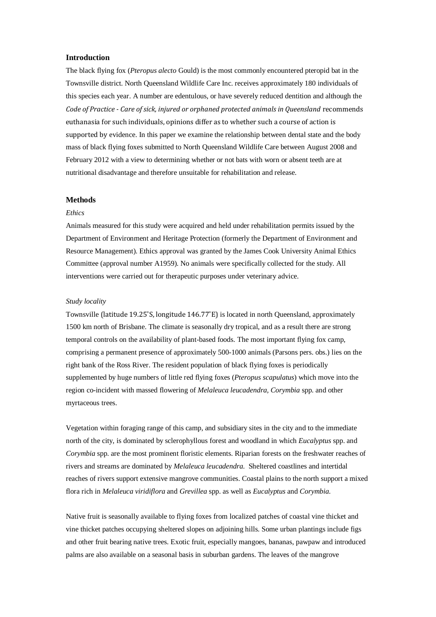#### **Introduction**

The black flying fox (*Pteropus alecto* Gould) is the most commonly encountered pteropid bat in the Townsville district. North Queensland Wildlife Care Inc. receives approximately 180 individuals of this species each year. A number are edentulous, or have severely reduced dentition and although the *Code of Practice - Care of sick, injured or orphaned protected animals in Queensland* recommends euthanasia for such individuals, opinions differ as to whether such a course of action is supported by evidence. In this paper we examine the relationship between dental state and the body mass of black flying foxes submitted to North Queensland Wildlife Care between August 2008 and February 2012 with a view to determining whether or not bats with worn or absent teeth are at nutritional disadvantage and therefore unsuitable for rehabilitation and release.

#### **Methods**

#### *Ethics*

Animals measured for this study were acquired and held under rehabilitation permits issued by the Department of Environment and Heritage Protection (formerly the Department of Environment and Resource Management). Ethics approval was granted by the James Cook University Animal Ethics Committee (approval number A1959). No animals were specifically collected for the study. All interventions were carried out for therapeutic purposes under veterinary advice.

#### *Study locality*

Townsville (latitude 19.25˚S, longitude 146.77˚E) is located in north Queensland, approximately 1500 km north of Brisbane. The climate is seasonally dry tropical, and as a result there are strong temporal controls on the availability of plant-based foods. The most important flying fox camp, comprising a permanent presence of approximately 500-1000 animals (Parsons pers. obs.) lies on the right bank of the Ross River. The resident population of black flying foxes is periodically supplemented by huge numbers of little red flying foxes (*Pteropus scapulatus*) which move into the region co-incident with massed flowering of *Melaleuca leucadendra, Corymbia* spp. and other myrtaceous trees.

Vegetation within foraging range of this camp, and subsidiary sites in the city and to the immediate north of the city, is dominated by sclerophyllous forest and woodland in which *Eucalyptus* spp. and *Corymbia* spp. are the most prominent floristic elements. Riparian forests on the freshwater reaches of rivers and streams are dominated by *Melaleuca leucadendra*. Sheltered coastlines and intertidal reaches of rivers support extensive mangrove communities. Coastal plains to the north support a mixed flora rich in *Melaleuca viridiflora* and *Grevillea* spp. as well as *Eucalyptus* and *Corymbia*.

Native fruit is seasonally available to flying foxes from localized patches of coastal vine thicket and vine thicket patches occupying sheltered slopes on adjoining hills. Some urban plantings include figs and other fruit bearing native trees. Exotic fruit, especially mangoes, bananas, pawpaw and introduced palms are also available on a seasonal basis in suburban gardens. The leaves of the mangrove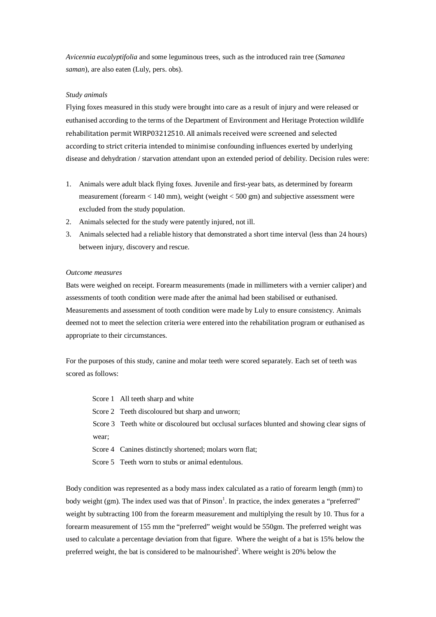*Avicennia eucalyptifolia* and some leguminous trees, such as the introduced rain tree (*Samanea saman*), are also eaten (Luly, pers. obs).

## *Study animals*

Flying foxes measured in this study were brought into care as a result of injury and were released or euthanised according to the terms of the Department of Environment and Heritage Protection wildlife rehabilitation permit WIRP03212510. All animals received were screened and selected according to strict criteria intended to minimise confounding influences exerted by underlying disease and dehydration / starvation attendant upon an extended period of debility. Decision rules were:

- 1. Animals were adult black flying foxes. Juvenile and first-year bats, as determined by forearm measurement (forearm < 140 mm), weight (weight < 500 gm) and subjective assessment were excluded from the study population.
- 2. Animals selected for the study were patently injured, not ill.
- 3. Animals selected had a reliable history that demonstrated a short time interval (less than 24 hours) between injury, discovery and rescue.

#### *Outcome measures*

Bats were weighed on receipt. Forearm measurements (made in millimeters with a vernier caliper) and assessments of tooth condition were made after the animal had been stabilised or euthanised. Measurements and assessment of tooth condition were made by Luly to ensure consistency. Animals deemed not to meet the selection criteria were entered into the rehabilitation program or euthanised as appropriate to their circumstances.

For the purposes of this study, canine and molar teeth were scored separately. Each set of teeth was scored as follows:

| Score 1 All teeth sharp and white |  |
|-----------------------------------|--|
|-----------------------------------|--|

Score 2 Teeth discoloured but sharp and unworn;

Score 3 Teeth white or discoloured but occlusal surfaces blunted and showing clear signs of wear;

Score 4 Canines distinctly shortened; molars worn flat:

Score 5 Teeth worn to stubs or animal edentulous.

Body condition was represented as a body mass index calculated as a ratio of forearm length (mm) to body weight (gm). The index used was that of Pinson<sup>1</sup>. In practice, the index generates a "preferred" weight by subtracting 100 from the forearm measurement and multiplying the result by 10. Thus for a forearm measurement of 155 mm the "preferred" weight would be 550gm. The preferred weight was used to calculate a percentage deviation from that figure. Where the weight of a bat is 15% below the preferred weight, the bat is considered to be malnourished<sup>2</sup>. Where weight is 20% below the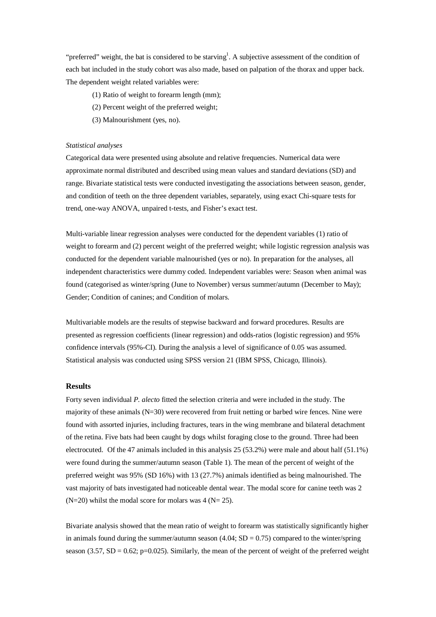"preferred" weight, the bat is considered to be starving<sup>1</sup>. A subjective assessment of the condition of each bat included in the study cohort was also made, based on palpation of the thorax and upper back. The dependent weight related variables were:

- (1) Ratio of weight to forearm length (mm);
- (2) Percent weight of the preferred weight;
- (3) Malnourishment (yes, no).

#### *Statistical analyses*

Categorical data were presented using absolute and relative frequencies. Numerical data were approximate normal distributed and described using mean values and standard deviations (SD) and range. Bivariate statistical tests were conducted investigating the associations between season, gender, and condition of teeth on the three dependent variables, separately, using exact Chi-square tests for trend, one-way ANOVA, unpaired t-tests, and Fisher's exact test.

Multi-variable linear regression analyses were conducted for the dependent variables (1) ratio of weight to forearm and (2) percent weight of the preferred weight; while logistic regression analysis was conducted for the dependent variable malnourished (yes or no). In preparation for the analyses, all independent characteristics were dummy coded. Independent variables were: Season when animal was found (categorised as winter/spring (June to November) versus summer/autumn (December to May); Gender; Condition of canines; and Condition of molars.

Multivariable models are the results of stepwise backward and forward procedures. Results are presented as regression coefficients (linear regression) and odds-ratios (logistic regression) and 95% confidence intervals (95%-CI). During the analysis a level of significance of 0.05 was assumed. Statistical analysis was conducted using SPSS version 21 (IBM SPSS, Chicago, Illinois).

#### **Results**

Forty seven individual *P. alecto* fitted the selection criteria and were included in the study. The majority of these animals (N=30) were recovered from fruit netting or barbed wire fences. Nine were found with assorted injuries, including fractures, tears in the wing membrane and bilateral detachment of the retina. Five bats had been caught by dogs whilst foraging close to the ground. Three had been electrocuted. Of the 47 animals included in this analysis 25 (53.2%) were male and about half (51.1%) were found during the summer/autumn season (Table 1). The mean of the percent of weight of the preferred weight was 95% (SD 16%) with 13 (27.7%) animals identified as being malnourished. The vast majority of bats investigated had noticeable dental wear. The modal score for canine teeth was 2  $(N=20)$  whilst the modal score for molars was 4 ( $N= 25$ ).

Bivariate analysis showed that the mean ratio of weight to forearm was statistically significantly higher in animals found during the summer/autumn season  $(4.04; SD = 0.75)$  compared to the winter/spring season (3.57, SD = 0.62; p=0.025). Similarly, the mean of the percent of weight of the preferred weight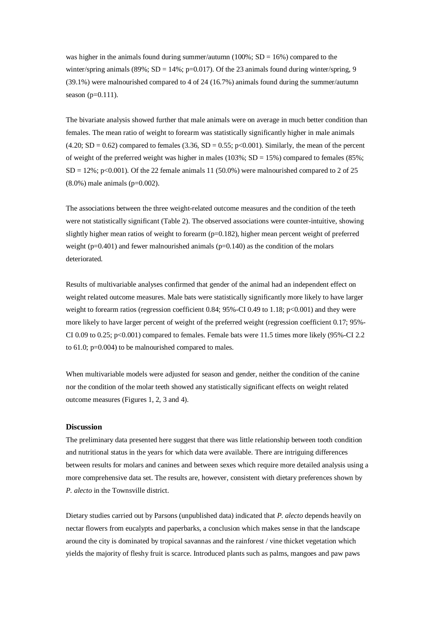was higher in the animals found during summer/autumn (100%;  $SD = 16%$ ) compared to the winter/spring animals (89%; SD = 14%;  $p=0.017$ ). Of the 23 animals found during winter/spring, 9 (39.1%) were malnourished compared to 4 of 24 (16.7%) animals found during the summer/autumn season  $(p=0.111)$ .

The bivariate analysis showed further that male animals were on average in much better condition than females. The mean ratio of weight to forearm was statistically significantly higher in male animals  $(4.20; SD = 0.62)$  compared to females  $(3.36, SD = 0.55; p < 0.001)$ . Similarly, the mean of the percent of weight of the preferred weight was higher in males ( $103\%$ ; SD = 15%) compared to females ( $85\%$ ;  $SD = 12\%$ ; p<0.001). Of the 22 female animals 11 (50.0%) were malnourished compared to 2 of 25 (8.0%) male animals (p=0.002).

The associations between the three weight-related outcome measures and the condition of the teeth were not statistically significant (Table 2). The observed associations were counter-intuitive, showing slightly higher mean ratios of weight to forearm  $(p=0.182)$ , higher mean percent weight of preferred weight ( $p=0.401$ ) and fewer malnourished animals ( $p=0.140$ ) as the condition of the molars deteriorated.

Results of multivariable analyses confirmed that gender of the animal had an independent effect on weight related outcome measures. Male bats were statistically significantly more likely to have larger weight to forearm ratios (regression coefficient 0.84; 95%-CI 0.49 to 1.18; p<0.001) and they were more likely to have larger percent of weight of the preferred weight (regression coefficient 0.17; 95%- CI 0.09 to 0.25;  $p<0.001$ ) compared to females. Female bats were 11.5 times more likely (95%-CI 2.2) to 61.0; p=0.004) to be malnourished compared to males.

When multivariable models were adjusted for season and gender, neither the condition of the canine nor the condition of the molar teeth showed any statistically significant effects on weight related outcome measures (Figures 1, 2, 3 and 4).

#### **Discussion**

The preliminary data presented here suggest that there was little relationship between tooth condition and nutritional status in the years for which data were available. There are intriguing differences between results for molars and canines and between sexes which require more detailed analysis using a more comprehensive data set. The results are, however, consistent with dietary preferences shown by *P. alecto* in the Townsville district.

Dietary studies carried out by Parsons (unpublished data) indicated that *P. alecto* depends heavily on nectar flowers from eucalypts and paperbarks, a conclusion which makes sense in that the landscape around the city is dominated by tropical savannas and the rainforest / vine thicket vegetation which yields the majority of fleshy fruit is scarce. Introduced plants such as palms, mangoes and paw paws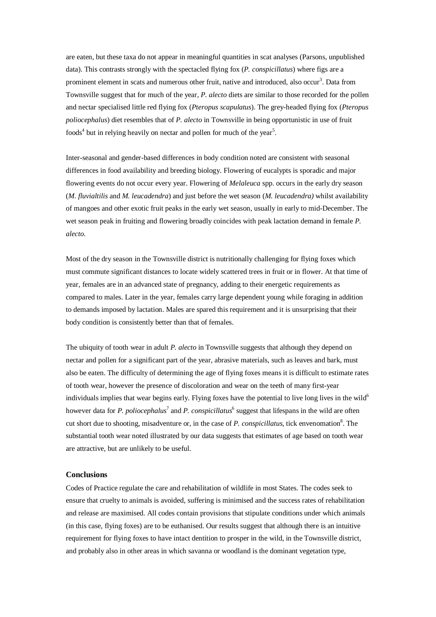are eaten, but these taxa do not appear in meaningful quantities in scat analyses (Parsons, unpublished data). This contrasts strongly with the spectacled flying fox (*P. conspicillatus*) where figs are a prominent element in scats and numerous other fruit, native and introduced, also occur<sup>3</sup>. Data from Townsville suggest that for much of the year, *P. alecto* diets are similar to those recorded for the pollen and nectar specialised little red flying fox (*Pteropus scapulatus*). The grey-headed flying fox (*Pteropus poliocephalus*) diet resembles that of *P. alecto* in Townsville in being opportunistic in use of fruit foods<sup>4</sup> but in relying heavily on nectar and pollen for much of the year<sup>5</sup>.

Inter-seasonal and gender-based differences in body condition noted are consistent with seasonal differences in food availability and breeding biology. Flowering of eucalypts is sporadic and major flowering events do not occur every year. Flowering of *Melaleuca* spp. occurs in the early dry season (*M. fluvialtilis* and *M. leucadendra*) and just before the wet season (*M. leucadendra)* whilst availability of mangoes and other exotic fruit peaks in the early wet season, usually in early to mid-December. The wet season peak in fruiting and flowering broadly coincides with peak lactation demand in female *P. alecto*.

Most of the dry season in the Townsville district is nutritionally challenging for flying foxes which must commute significant distances to locate widely scattered trees in fruit or in flower. At that time of year, females are in an advanced state of pregnancy, adding to their energetic requirements as compared to males. Later in the year, females carry large dependent young while foraging in addition to demands imposed by lactation. Males are spared this requirement and it is unsurprising that their body condition is consistently better than that of females.

The ubiquity of tooth wear in adult *P. alecto* in Townsville suggests that although they depend on nectar and pollen for a significant part of the year, abrasive materials, such as leaves and bark, must also be eaten. The difficulty of determining the age of flying foxes means it is difficult to estimate rates of tooth wear, however the presence of discoloration and wear on the teeth of many first-year individuals implies that wear begins early. Flying foxes have the potential to live long lives in the wild<sup>6</sup> however data for *P. poliocephalus*<sup>7</sup> and *P. conspicillatus*<sup>6</sup> suggest that lifespans in the wild are often cut short due to shooting, misadventure or, in the case of *P. conspicillatus*, tick envenomation<sup>8</sup>. The substantial tooth wear noted illustrated by our data suggests that estimates of age based on tooth wear are attractive, but are unlikely to be useful.

#### **Conclusions**

Codes of Practice regulate the care and rehabilitation of wildlife in most States. The codes seek to ensure that cruelty to animals is avoided, suffering is minimised and the success rates of rehabilitation and release are maximised. All codes contain provisions that stipulate conditions under which animals (in this case, flying foxes) are to be euthanised. Our results suggest that although there is an intuitive requirement for flying foxes to have intact dentition to prosper in the wild, in the Townsville district, and probably also in other areas in which savanna or woodland is the dominant vegetation type,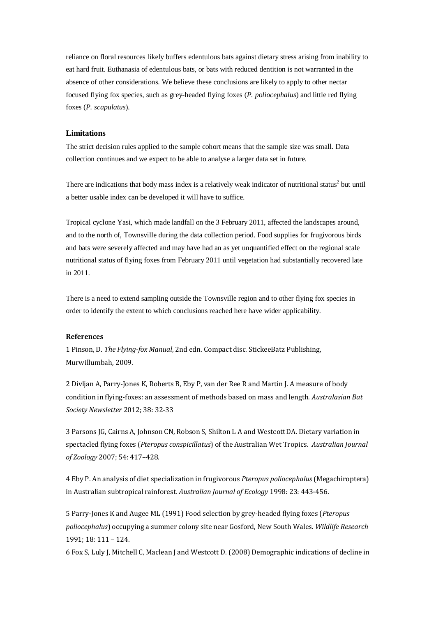reliance on floral resources likely buffers edentulous bats against dietary stress arising from inability to eat hard fruit. Euthanasia of edentulous bats, or bats with reduced dentition is not warranted in the absence of other considerations. We believe these conclusions are likely to apply to other nectar focused flying fox species, such as grey-headed flying foxes (*P. poliocephalus*) and little red flying foxes (*P. scapulatus*).

#### **Limitations**

The strict decision rules applied to the sample cohort means that the sample size was small. Data collection continues and we expect to be able to analyse a larger data set in future.

There are indications that body mass index is a relatively weak indicator of nutritional status<sup>2</sup> but until a better usable index can be developed it will have to suffice.

Tropical cyclone Yasi, which made landfall on the 3 February 2011, affected the landscapes around, and to the north of, Townsville during the data collection period. Food supplies for frugivorous birds and bats were severely affected and may have had an as yet unquantified effect on the regional scale nutritional status of flying foxes from February 2011 until vegetation had substantially recovered late in 2011.

There is a need to extend sampling outside the Townsville region and to other flying fox species in order to identify the extent to which conclusions reached here have wider applicability.

## **References**

1 Pinson, D. *The Flying-fox Manual*, 2nd edn. Compact disc. StickeeBatz Publishing, Murwillumbah, 2009.

2 Divljan A, Parry-Jones K, Roberts B, Eby P, van der Ree R and Martin J. A measure of body condition in flying-foxes: an assessment of methods based on mass and length. *Australasian Bat Society Newsletter* 2012; 38: 32-33

3 Parsons JG, Cairns A, Johnson CN, Robson S, Shilton L A and WestcottDA*.* Dietary variation in spectacled flying foxes (*Pteropus conspicillatus*) of the Australian Wet Tropics. *Australian Journal of Zoology* 2007; 54: 417–428.

4 Eby P. An analysis of diet specialization in frugivorous *Pteropus poliocephalus* (Megachiroptera) in Australian subtropical rainforest. *Australian Journal of Ecology* 1998: 23: 443-456.

5 Parry-Jones K and Augee ML (1991) Food selection by grey-headed flying foxes (*Pteropus poliocephalus*) occupying a summer colony site near Gosford, New South Wales. *Wildlife Research* 1991; 18: 111 – 124.

6 Fox S, Luly J, Mitchell C, Maclean J and Westcott D. (2008) Demographic indications of decline in